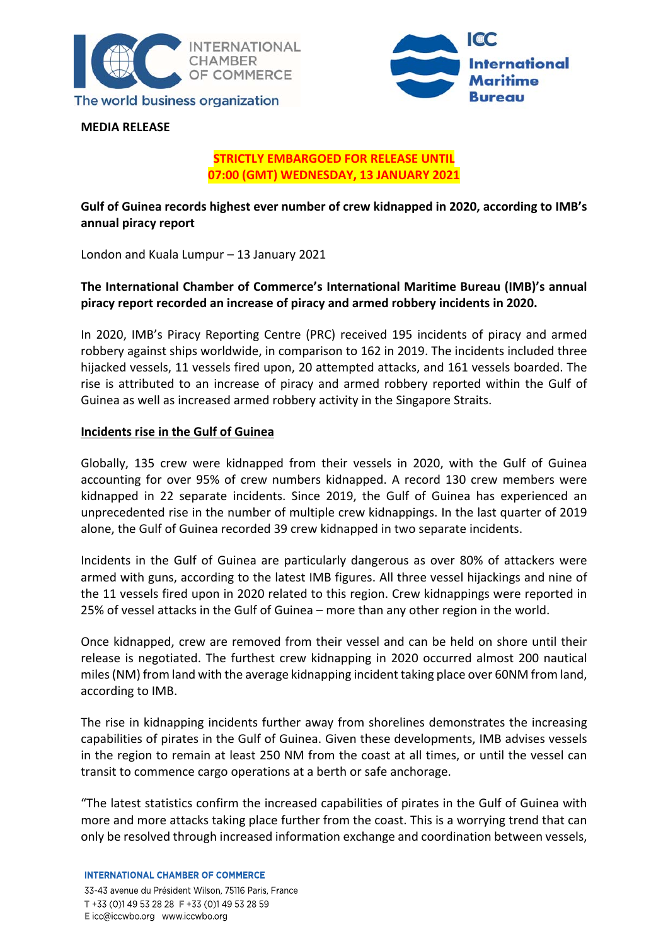



**MEDIA RELEASE**

## **STRICTLY EMBARGOED FOR RELEASE UNTIL 07:00 (GMT) WEDNESDAY, 13 JANUARY 2021**

## **Gulf of Guinea records highest ever number of crew kidnapped in 2020, according to IMB's annual piracy report**

London and Kuala Lumpur – 13 January 2021

# **The International Chamber of Commerce's International Maritime Bureau (IMB)'s annual piracy report recorded an increase of piracy and armed robbery incidents in 2020.**

In 2020, IMB's Piracy Reporting Centre (PRC) received 195 incidents of piracy and armed robbery against ships worldwide, in comparison to 162 in 2019. The incidents included three hijacked vessels, 11 vessels fired upon, 20 attempted attacks, and 161 vessels boarded. The rise is attributed to an increase of piracy and armed robbery reported within the Gulf of Guinea as well as increased armed robbery activity in the Singapore Straits.

## **Incidents rise in the Gulf of Guinea**

Globally, 135 crew were kidnapped from their vessels in 2020, with the Gulf of Guinea accounting for over 95% of crew numbers kidnapped. A record 130 crew members were kidnapped in 22 separate incidents. Since 2019, the Gulf of Guinea has experienced an unprecedented rise in the number of multiple crew kidnappings. In the last quarter of 2019 alone, the Gulf of Guinea recorded 39 crew kidnapped in two separate incidents.

Incidents in the Gulf of Guinea are particularly dangerous as over 80% of attackers were armed with guns, according to the latest IMB figures. All three vessel hijackings and nine of the 11 vessels fired upon in 2020 related to this region. Crew kidnappings were reported in 25% of vessel attacks in the Gulf of Guinea – more than any other region in the world.

Once kidnapped, crew are removed from their vessel and can be held on shore until their release is negotiated. The furthest crew kidnapping in 2020 occurred almost 200 nautical miles(NM) from land with the average kidnapping incident taking place over 60NM from land, according to IMB.

The rise in kidnapping incidents further away from shorelines demonstrates the increasing capabilities of pirates in the Gulf of Guinea. Given these developments, IMB advises vessels in the region to remain at least 250 NM from the coast at all times, or until the vessel can transit to commence cargo operations at a berth or safe anchorage.

"The latest statistics confirm the increased capabilities of pirates in the Gulf of Guinea with more and more attacks taking place further from the coast. This is a worrying trend that can only be resolved through increased information exchange and coordination between vessels,

**INTERNATIONAL CHAMBER OF COMMERCE**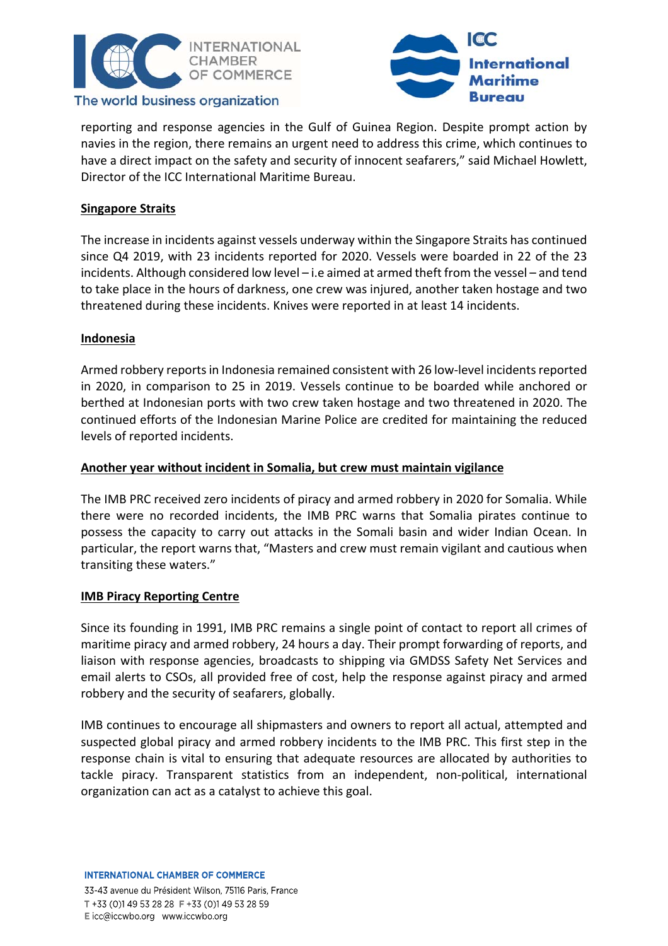



## The world business organization

reporting and response agencies in the Gulf of Guinea Region. Despite prompt action by navies in the region, there remains an urgent need to address this crime, which continues to have a direct impact on the safety and security of innocent seafarers," said Michael Howlett, Director of the ICC International Maritime Bureau.

# **Singapore Straits**

The increase in incidents against vessels underway within the Singapore Straits has continued since Q4 2019, with 23 incidents reported for 2020. Vessels were boarded in 22 of the 23 incidents. Although considered low level – i.e aimed at armed theft from the vessel – and tend to take place in the hours of darkness, one crew was injured, another taken hostage and two threatened during these incidents. Knives were reported in at least 14 incidents.

## **Indonesia**

Armed robbery reports in Indonesia remained consistent with 26 low-level incidents reported in 2020, in comparison to 25 in 2019. Vessels continue to be boarded while anchored or berthed at Indonesian ports with two crew taken hostage and two threatened in 2020. The continued efforts of the Indonesian Marine Police are credited for maintaining the reduced levels of reported incidents.

## **Another year without incident in Somalia, but crew must maintain vigilance**

The IMB PRC received zero incidents of piracy and armed robbery in 2020 for Somalia. While there were no recorded incidents, the IMB PRC warns that Somalia pirates continue to possess the capacity to carry out attacks in the Somali basin and wider Indian Ocean. In particular, the report warns that, "Masters and crew must remain vigilant and cautious when transiting these waters."

#### **IMB Piracy Reporting Centre**

Since its founding in 1991, IMB PRC remains a single point of contact to report all crimes of maritime piracy and armed robbery, 24 hours a day. Their prompt forwarding of reports, and liaison with response agencies, broadcasts to shipping via GMDSS Safety Net Services and email alerts to CSOs, all provided free of cost, help the response against piracy and armed robbery and the security of seafarers, globally.

IMB continues to encourage all shipmasters and owners to report all actual, attempted and suspected global piracy and armed robbery incidents to the IMB PRC. This first step in the response chain is vital to ensuring that adequate resources are allocated by authorities to tackle piracy. Transparent statistics from an independent, non‐political, international organization can act as a catalyst to achieve this goal.

**INTERNATIONAL CHAMBER OF COMMERCE**